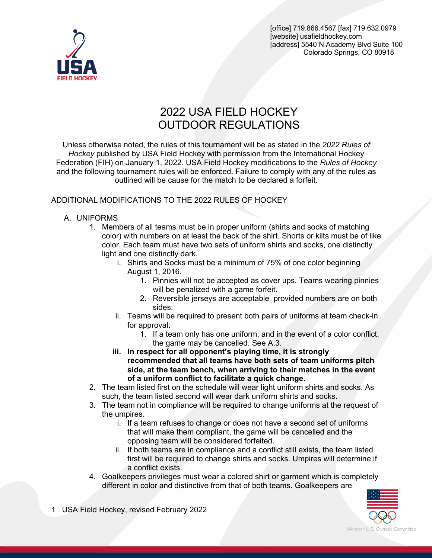

# 2022 USA FIELD HOCKEY OUTDOOR REGULATIONS

Unless otherwise noted, the rules of this tournament will be as stated in the *2022 Rules of Hockey* published by USA Field Hockey with permission from the International Hockey Federation (FIH) on January 1, 2022. USA Field Hockey modifications to the *Rules of Hockey* and the following tournament rules will be enforced. Failure to comply with any of the rules as outlined will be cause for the match to be declared a forfeit.

# ADDITIONAL MODIFICATIONS TO THE 2022 RULES OF HOCKEY

# A. UNIFORMS

- 1. Members of all teams must be in proper uniform (shirts and socks of matching color) with numbers on at least the back of the shirt. Shorts or kilts must be of like color. Each team must have two sets of uniform shirts and socks, one distinctly light and one distinctly dark.
	- i. Shirts and Socks must be a minimum of 75% of one color beginning August 1, 2016.
		- 1. Pinnies will not be accepted as cover ups. Teams wearing pinnies will be penalized with a game forfeit.
		- 2. Reversible jerseys are acceptable provided numbers are on both sides.
	- ii. Teams will be required to present both pairs of uniforms at team check-in for approval.
		- 1. If a team only has one uniform, and in the event of a color conflict, the game may be cancelled. See A.3.
	- **iii. In respect for all opponent's playing time, it is strongly recommended that all teams have both sets of team uniforms pitch side, at the team bench, when arriving to their matches in the event of a uniform conflict to facilitate a quick change.**
- 2. The team listed first on the schedule will wear light uniform shirts and socks. As such, the team listed second will wear dark uniform shirts and socks.
- 3. The team not in compliance will be required to change uniforms at the request of the umpires.
	- i. If a team refuses to change or does not have a second set of uniforms that will make them compliant, the game will be cancelled and the opposing team will be considered forfeited.
	- ii. If both teams are in compliance and a conflict still exists, the team listed first will be required to change shirts and socks. Umpires will determine if a conflict exists.
- 4. Goalkeepers privileges must wear a colored shirt or garment which is completely different in color and distinctive from that of both teams. Goalkeepers are



1 USA Field Hockey, revised February 2022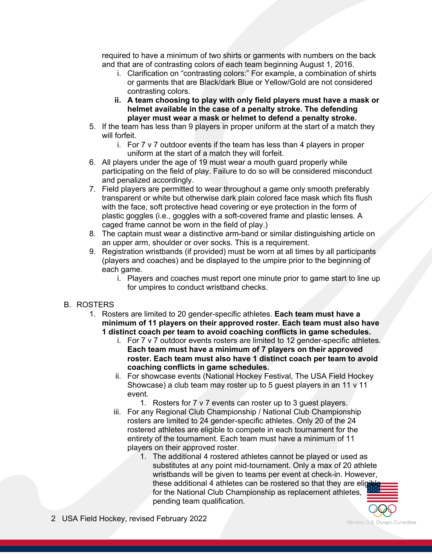required to have a minimum of two shirts or garments with numbers on the back and that are of contrasting colors of each team beginning August 1, 2016.

- i. Clarification on "contrasting colors:" For example, a combination of shirts or garments that are Black/dark Blue or Yellow/Gold are not considered contrasting colors.
- **ii. A team choosing to play with only field players must have a mask or helmet available in the case of a penalty stroke. The defending player must wear a mask or helmet to defend a penalty stroke.**
- 5. If the team has less than 9 players in proper uniform at the start of a match they will forfeit.
	- i. For 7 v 7 outdoor events if the team has less than 4 players in proper uniform at the start of a match they will forfeit.
- 6. All players under the age of 19 must wear a mouth guard properly while participating on the field of play. Failure to do so will be considered misconduct and penalized accordingly.
- 7. Field players are permitted to wear throughout a game only smooth preferably transparent or white but otherwise dark plain colored face mask which fits flush with the face, soft protective head covering or eye protection in the form of plastic goggles (i.e., goggles with a soft-covered frame and plastic lenses. A caged frame cannot be worn in the field of play.)
- 8. The captain must wear a distinctive arm-band or similar distinguishing article on an upper arm, shoulder or over socks. This is a requirement.
- 9. Registration wristbands (if provided) must be worn at all times by all participants (players and coaches) and be displayed to the umpire prior to the beginning of each game.
	- i. Players and coaches must report one minute prior to game start to line up for umpires to conduct wristband checks.

# B. ROSTERS

- 1. Rosters are limited to 20 gender-specific athletes. **Each team must have a minimum of 11 players on their approved roster. Each team must also have 1 distinct coach per team to avoid coaching conflicts in game schedules.**
	- i. For 7 v 7 outdoor events rosters are limited to 12 gender-specific athletes. **Each team must have a minimum of 7 players on their approved roster. Each team must also have 1 distinct coach per team to avoid coaching conflicts in game schedules.**
	- ii. For showcase events (National Hockey Festival, The USA Field Hockey Showcase) a club team may roster up to 5 guest players in an 11 v 11 event.

1. Rosters for 7 v 7 events can roster up to 3 guest players.

- iii. For any Regional Club Championship / National Club Championship rosters are limited to 24 gender-specific athletes. Only 20 of the 24 rostered athletes are eligible to compete in each tournament for the entirety of the tournament. Each team must have a minimum of 11 players on their approved roster.
	- 1. The additional 4 rostered athletes cannot be played or used as substitutes at any point mid-tournament. Only a max of 20 athlete wristbands will be given to teams per event at check-in. However, these additional 4 athletes can be rostered so that they are eligerfor the National Club Championship as replacement athletes, pending team qualification.

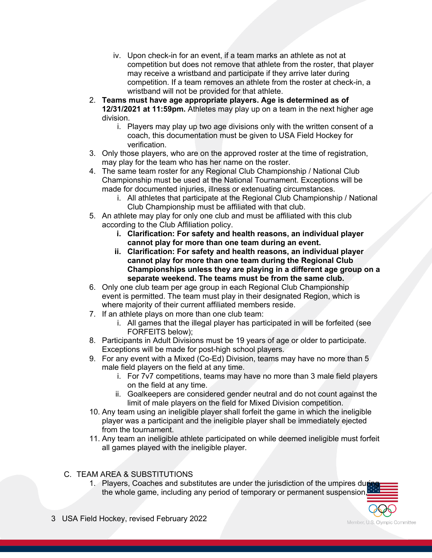- iv. Upon check-in for an event, if a team marks an athlete as not at competition but does not remove that athlete from the roster, that player may receive a wristband and participate if they arrive later during competition. If a team removes an athlete from the roster at check-in, a wristband will not be provided for that athlete.
- 2. **Teams must have age appropriate players. Age is determined as of 12/31/2021 at 11:59pm.** Athletes may play up on a team in the next higher age division.
	- i. Players may play up two age divisions only with the written consent of a coach, this documentation must be given to USA Field Hockey for verification.
- 3. Only those players, who are on the approved roster at the time of registration, may play for the team who has her name on the roster.
- 4. The same team roster for any Regional Club Championship / National Club Championship must be used at the National Tournament. Exceptions will be made for documented injuries, illness or extenuating circumstances.
	- i. All athletes that participate at the Regional Club Championship / National Club Championship must be affiliated with that club.
- 5. An athlete may play for only one club and must be affiliated with this club according to the Club Affiliation policy.
	- **i. Clarification: For safety and health reasons, an individual player cannot play for more than one team during an event.**
	- **ii. Clarification: For safety and health reasons, an individual player cannot play for more than one team during the Regional Club Championships unless they are playing in a different age group on a separate weekend. The teams must be from the same club.**
- 6. Only one club team per age group in each Regional Club Championship event is permitted. The team must play in their designated Region, which is where majority of their current affiliated members reside.
- 7. If an athlete plays on more than one club team:
	- i. All games that the illegal player has participated in will be forfeited (see FORFEITS below);
- 8. Participants in Adult Divisions must be 19 years of age or older to participate. Exceptions will be made for post-high school players.
- 9. For any event with a Mixed (Co-Ed) Division, teams may have no more than 5 male field players on the field at any time.
	- i. For 7v7 competitions, teams may have no more than 3 male field players on the field at any time.
	- ii. Goalkeepers are considered gender neutral and do not count against the limit of male players on the field for Mixed Division competition.
- 10. Any team using an ineligible player shall forfeit the game in which the ineligible player was a participant and the ineligible player shall be immediately ejected from the tournament.
- 11. Any team an ineligible athlete participated on while deemed ineligible must forfeit all games played with the ineligible player.
- C. TEAM AREA & SUBSTITUTIONS
	- 1. Players, Coaches and substitutes are under the jurisdiction of the umpires during the whole game, including any period of temporary or permanent suspension,

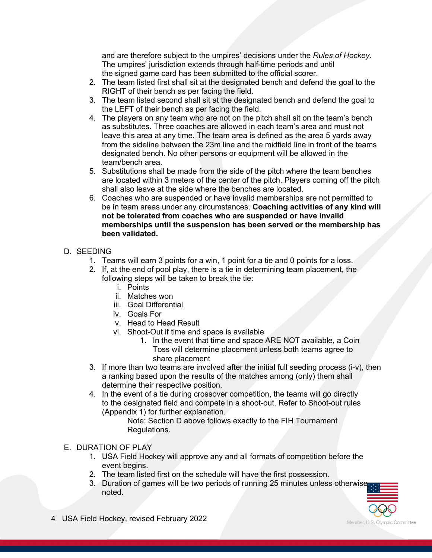and are therefore subject to the umpires' decisions under the *Rules of Hockey*. The umpires' jurisdiction extends through half-time periods and until the signed game card has been submitted to the official scorer.

- 2. The team listed first shall sit at the designated bench and defend the goal to the RIGHT of their bench as per facing the field.
- 3. The team listed second shall sit at the designated bench and defend the goal to the LEFT of their bench as per facing the field.
- 4. The players on any team who are not on the pitch shall sit on the team's bench as substitutes. Three coaches are allowed in each team's area and must not leave this area at any time. The team area is defined as the area 5 yards away from the sideline between the 23m line and the midfield line in front of the teams designated bench. No other persons or equipment will be allowed in the team/bench area.
- 5. Substitutions shall be made from the side of the pitch where the team benches are located within 3 meters of the center of the pitch. Players coming off the pitch shall also leave at the side where the benches are located.
- 6. Coaches who are suspended or have invalid memberships are not permitted to be in team areas under any circumstances. **Coaching activities of any kind will not be tolerated from coaches who are suspended or have invalid memberships until the suspension has been served or the membership has been validated.**

# D. SEEDING

- 1. Teams will earn 3 points for a win, 1 point for a tie and 0 points for a loss.
- 2. If, at the end of pool play, there is a tie in determining team placement, the following steps will be taken to break the tie:
	- i. Points
	- ii. Matches won
	- iii. Goal Differential
	- iv. Goals For
	- v. Head to Head Result
	- vi. Shoot-Out if time and space is available
		- 1. In the event that time and space ARE NOT available, a Coin Toss will determine placement unless both teams agree to share placement
- 3. If more than two teams are involved after the initial full seeding process (i-v), then a ranking based upon the results of the matches among (only) them shall determine their respective position.
- 4. In the event of a tie during crossover competition, the teams will go directly to the designated field and compete in a shoot-out. Refer to Shoot-out rules (Appendix 1) for further explanation.

Note: Section D above follows exactly to the FIH Tournament Regulations.

# E. DURATION OF PLAY

- 1. USA Field Hockey will approve any and all formats of competition before the event begins.
- 2. The team listed first on the schedule will have the first possession.
- 3. Duration of games will be two periods of running 25 minutes unless otherwise noted.

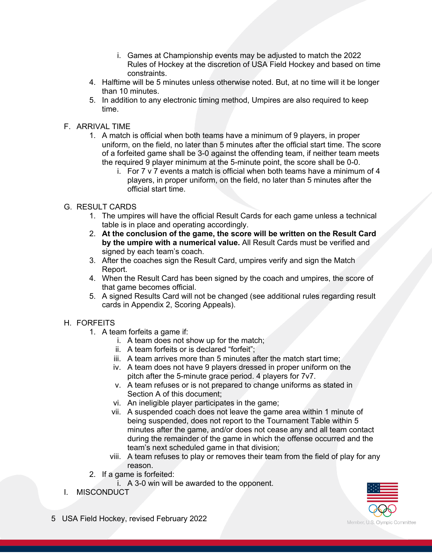- i. Games at Championship events may be adjusted to match the 2022 Rules of Hockey at the discretion of USA Field Hockey and based on time constraints.
- 4. Halftime will be 5 minutes unless otherwise noted. But, at no time will it be longer than 10 minutes.
- 5. In addition to any electronic timing method, Umpires are also required to keep time.

## F. ARRIVAL TIME

- 1. A match is official when both teams have a minimum of 9 players, in proper uniform, on the field, no later than 5 minutes after the official start time. The score of a forfeited game shall be 3-0 against the offending team, if neither team meets the required 9 player minimum at the 5-minute point, the score shall be 0-0.
	- i. For 7 v 7 events a match is official when both teams have a minimum of 4 players, in proper uniform, on the field, no later than 5 minutes after the official start time.

# G. RESULT CARDS

- 1. The umpires will have the official Result Cards for each game unless a technical table is in place and operating accordingly.
- 2. **At the conclusion of the game, the score will be written on the Result Card by the umpire with a numerical value.** All Result Cards must be verified and signed by each team's coach.
- 3. After the coaches sign the Result Card, umpires verify and sign the Match Report.
- 4. When the Result Card has been signed by the coach and umpires, the score of that game becomes official.
- 5. A signed Results Card will not be changed (see additional rules regarding result cards in Appendix 2, Scoring Appeals).

### H. FORFEITS

- 1. A team forfeits a game if:
	- i. A team does not show up for the match;
	- ii. A team forfeits or is declared "forfeit";
	- iii. A team arrives more than 5 minutes after the match start time;
	- iv. A team does not have 9 players dressed in proper uniform on the pitch after the 5-minute grace period. 4 players for 7v7.
	- v. A team refuses or is not prepared to change uniforms as stated in Section A of this document;
	- vi. An ineligible player participates in the game;
	- vii. A suspended coach does not leave the game area within 1 minute of being suspended, does not report to the Tournament Table within 5 minutes after the game, and/or does not cease any and all team contact during the remainder of the game in which the offense occurred and the team's next scheduled game in that division;
	- viii. A team refuses to play or removes their team from the field of play for any reason.
- 2. If a game is forfeited:
	- i. A 3-0 win will be awarded to the opponent.
- I. MISCONDUCT



5 USA Field Hockey, revised February 2022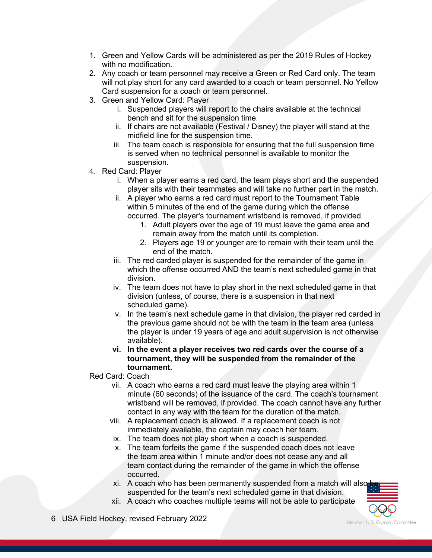- 1. Green and Yellow Cards will be administered as per the 2019 Rules of Hockey with no modification.
- 2. Any coach or team personnel may receive a Green or Red Card only. The team will not play short for any card awarded to a coach or team personnel. No Yellow Card suspension for a coach or team personnel.
- 3. Green and Yellow Card: Player
	- i. Suspended players will report to the chairs available at the technical bench and sit for the suspension time.
	- ii. If chairs are not available (Festival / Disney) the player will stand at the midfield line for the suspension time.
	- iii. The team coach is responsible for ensuring that the full suspension time is served when no technical personnel is available to monitor the suspension.
- 4. Red Card: Player
	- i. When a player earns a red card, the team plays short and the suspended player sits with their teammates and will take no further part in the match.
	- ii. A player who earns a red card must report to the Tournament Table within 5 minutes of the end of the game during which the offense occurred. The player's tournament wristband is removed, if provided.
		- 1. Adult players over the age of 19 must leave the game area and remain away from the match until its completion.
		- 2. Players age 19 or younger are to remain with their team until the end of the match.
	- iii. The red carded player is suspended for the remainder of the game in which the offense occurred AND the team's next scheduled game in that division.
	- iv. The team does not have to play short in the next scheduled game in that division (unless, of course, there is a suspension in that next scheduled game).
	- v. In the team's next schedule game in that division, the player red carded in the previous game should not be with the team in the team area (unless the player is under 19 years of age and adult supervision is not otherwise available).
	- **vi. In the event a player receives two red cards over the course of a tournament, they will be suspended from the remainder of the tournament.**

Red Card: Coach

- vii. A coach who earns a red card must leave the playing area within 1 minute (60 seconds) of the issuance of the card. The coach's tournament wristband will be removed, if provided. The coach cannot have any further contact in any way with the team for the duration of the match.
- viii. A replacement coach is allowed. If a replacement coach is not immediately available, the captain may coach her team.
- ix. The team does not play short when a coach is suspended.
- x. The team forfeits the game if the suspended coach does not leave the team area within 1 minute and/or does not cease any and all team contact during the remainder of the game in which the offense occurred.
- xi. A coach who has been permanently suspended from a match will also suspended for the team's next scheduled game in that division.
- xii. A coach who coaches multiple teams will not be able to participate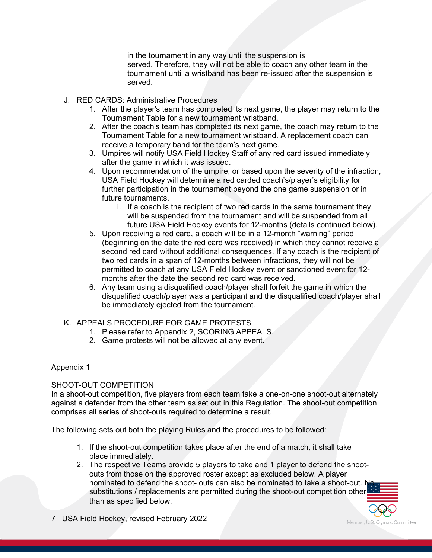in the tournament in any way until the suspension is served. Therefore, they will not be able to coach any other team in the tournament until a wristband has been re-issued after the suspension is served.

- J. RED CARDS: Administrative Procedures
	- 1. After the player's team has completed its next game, the player may return to the Tournament Table for a new tournament wristband.
	- 2. After the coach's team has completed its next game, the coach may return to the Tournament Table for a new tournament wristband. A replacement coach can receive a temporary band for the team's next game.
	- 3. Umpires will notify USA Field Hockey Staff of any red card issued immediately after the game in which it was issued.
	- 4. Upon recommendation of the umpire, or based upon the severity of the infraction, USA Field Hockey will determine a red carded coach's/player's eligibility for further participation in the tournament beyond the one game suspension or in future tournaments.
		- i. If a coach is the recipient of two red cards in the same tournament they will be suspended from the tournament and will be suspended from all future USA Field Hockey events for 12-months (details continued below).
	- 5. Upon receiving a red card, a coach will be in a 12-month "warning" period (beginning on the date the red card was received) in which they cannot receive a second red card without additional consequences. If any coach is the recipient of two red cards in a span of 12-months between infractions, they will not be permitted to coach at any USA Field Hockey event or sanctioned event for 12 months after the date the second red card was received.
	- 6. Any team using a disqualified coach/player shall forfeit the game in which the disqualified coach/player was a participant and the disqualified coach/player shall be immediately ejected from the tournament.

# K. APPEALS PROCEDURE FOR GAME PROTESTS

- 1. Please refer to Appendix 2, SCORING APPEALS.
- 2. Game protests will not be allowed at any event.

#### Appendix 1

#### SHOOT-OUT COMPETITION

In a shoot-out competition, five players from each team take a one-on-one shoot-out alternately against a defender from the other team as set out in this Regulation. The shoot-out competition comprises all series of shoot-outs required to determine a result.

The following sets out both the playing Rules and the procedures to be followed:

- 1. If the shoot-out competition takes place after the end of a match, it shall take place immediately.
- 2. The respective Teams provide 5 players to take and 1 player to defend the shootouts from those on the approved roster except as excluded below. A player nominated to defend the shoot- outs can also be nominated to take a shoot-out. No substitutions / replacements are permitted during the shoot-out competition other than as specified below.

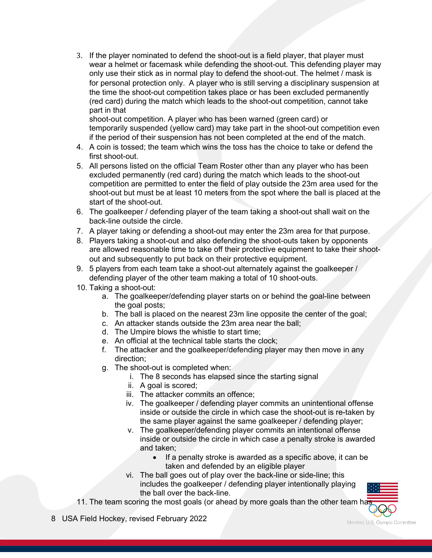3. If the player nominated to defend the shoot-out is a field player, that player must wear a helmet or facemask while defending the shoot-out. This defending player may only use their stick as in normal play to defend the shoot-out. The helmet / mask is for personal protection only. A player who is still serving a disciplinary suspension at the time the shoot-out competition takes place or has been excluded permanently (red card) during the match which leads to the shoot-out competition, cannot take part in that

shoot-out competition. A player who has been warned (green card) or temporarily suspended (yellow card) may take part in the shoot-out competition even if the period of their suspension has not been completed at the end of the match.

- 4. A coin is tossed; the team which wins the toss has the choice to take or defend the first shoot-out.
- 5. All persons listed on the official Team Roster other than any player who has been excluded permanently (red card) during the match which leads to the shoot-out competition are permitted to enter the field of play outside the 23m area used for the shoot-out but must be at least 10 meters from the spot where the ball is placed at the start of the shoot-out.
- 6. The goalkeeper / defending player of the team taking a shoot-out shall wait on the back-line outside the circle.
- 7. A player taking or defending a shoot-out may enter the 23m area for that purpose.
- 8. Players taking a shoot-out and also defending the shoot-outs taken by opponents are allowed reasonable time to take off their protective equipment to take their shootout and subsequently to put back on their protective equipment.
- 9. 5 players from each team take a shoot-out alternately against the goalkeeper / defending player of the other team making a total of 10 shoot-outs.
- 10. Taking a shoot-out:
	- a. The goalkeeper/defending player starts on or behind the goal-line between the goal posts;
	- b. The ball is placed on the nearest 23m line opposite the center of the goal;
	- c. An attacker stands outside the 23m area near the ball;
	- d. The Umpire blows the whistle to start time;
	- e. An official at the technical table starts the clock;
	- f. The attacker and the goalkeeper/defending player may then move in any direction;
	- g. The shoot-out is completed when:
		- i. The 8 seconds has elapsed since the starting signal
		- ii. A goal is scored;
		- iii. The attacker commits an offence;
		- iv. The goalkeeper / defending player commits an unintentional offense inside or outside the circle in which case the shoot-out is re-taken by the same player against the same goalkeeper / defending player;
		- v. The goalkeeper/defending player commits an intentional offense inside or outside the circle in which case a penalty stroke is awarded and taken;
			- If a penalty stroke is awarded as a specific above, it can be taken and defended by an eligible player
		- vi. The ball goes out of play over the back-line or side-line; this includes the goalkeeper / defending player intentionally playing the ball over the back-line.
- 11. The team scoring the most goals (or ahead by more goals than the other team has
- 8 USA Field Hockey, revised February 2022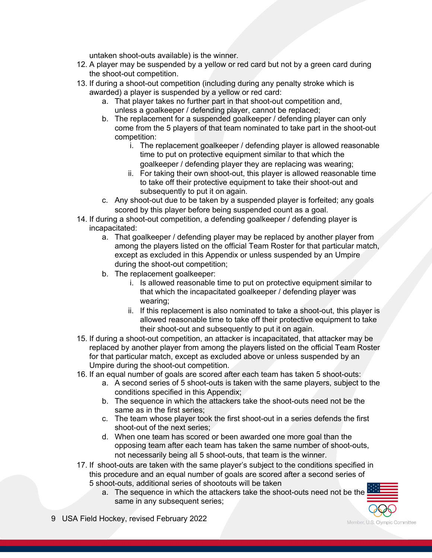untaken shoot-outs available) is the winner.

- 12. A player may be suspended by a yellow or red card but not by a green card during the shoot-out competition.
- 13. If during a shoot-out competition (including during any penalty stroke which is awarded) a player is suspended by a yellow or red card:
	- a. That player takes no further part in that shoot-out competition and, unless a goalkeeper / defending player, cannot be replaced;
	- b. The replacement for a suspended goalkeeper / defending player can only come from the 5 players of that team nominated to take part in the shoot-out competition:
		- i. The replacement goalkeeper / defending player is allowed reasonable time to put on protective equipment similar to that which the goalkeeper / defending player they are replacing was wearing;
		- ii. For taking their own shoot-out, this player is allowed reasonable time to take off their protective equipment to take their shoot-out and subsequently to put it on again.
	- c. Any shoot-out due to be taken by a suspended player is forfeited; any goals scored by this player before being suspended count as a goal.
- 14. If during a shoot-out competition, a defending goalkeeper / defending player is incapacitated:
	- a. That goalkeeper / defending player may be replaced by another player from among the players listed on the official Team Roster for that particular match, except as excluded in this Appendix or unless suspended by an Umpire during the shoot-out competition;
	- b. The replacement goalkeeper:
		- i. Is allowed reasonable time to put on protective equipment similar to that which the incapacitated goalkeeper / defending player was wearing;
		- ii. If this replacement is also nominated to take a shoot-out, this player is allowed reasonable time to take off their protective equipment to take their shoot-out and subsequently to put it on again.
- 15. If during a shoot-out competition, an attacker is incapacitated, that attacker may be replaced by another player from among the players listed on the official Team Roster for that particular match, except as excluded above or unless suspended by an Umpire during the shoot-out competition.
- 16. If an equal number of goals are scored after each team has taken 5 shoot-outs:
	- a. A second series of 5 shoot-outs is taken with the same players, subject to the conditions specified in this Appendix;
	- b. The sequence in which the attackers take the shoot-outs need not be the same as in the first series;
	- c. The team whose player took the first shoot-out in a series defends the first shoot-out of the next series:
	- d. When one team has scored or been awarded one more goal than the opposing team after each team has taken the same number of shoot-outs, not necessarily being all 5 shoot-outs, that team is the winner.
- 17. If shoot-outs are taken with the same player's subject to the conditions specified in this procedure and an equal number of goals are scored after a second series of 5 shoot-outs, additional series of shootouts will be taken
	- a. The sequence in which the attackers take the shoot-outs need not be the same in any subsequent series;